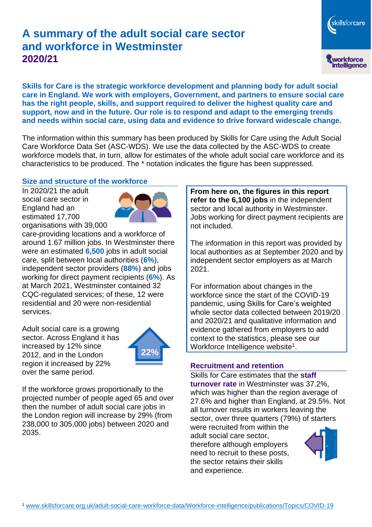# **A summary of the adult social care sector and workforce in Westminster 2020/21**

skillsforcare workforce<br>intelligence

**Skills for Care is the strategic workforce development and planning body for adult social care in England. We work with employers, Government, and partners to ensure social care has the right people, skills, and support required to deliver the highest quality care and support, now and in the future. Our role is to respond and adapt to the emerging trends and needs within social care, using data and evidence to drive forward widescale change.**

The information within this summary has been produced by Skills for Care using the Adult Social Care Workforce Data Set (ASC-WDS). We use the data collected by the ASC-WDS to create workforce models that, in turn, allow for estimates of the whole adult social care workforce and its characteristics to be produced. The \* notation indicates the figure has been suppressed.

## **Size and structure of the workforce**

In 2020/21 the adult social care sector in England had an estimated 17,700 organisations with 39,000



care-providing locations and a workforce of around 1.67 million jobs. In Westminster there were an estimated **6,500** jobs in adult social care, split between local authorities (**6%**), independent sector providers (**88%**) and jobs working for direct payment recipients (**6%**). As at March 2021, Westminster contained 32 CQC-regulated services; of these, 12 were residential and 20 were non-residential services.

Adult social care is a growing sector. Across England it has increased by 12% since 2012, and in the London region it increased by 22% over the same period.



If the workforce grows proportionally to the projected number of people aged 65 and over then the number of adult social care jobs in the London region will increase by 29% (from 238,000 to 305,000 jobs) between 2020 and 2035.

**From here on, the figures in this report refer to the 6,100 jobs** in the independent sector and local authority in Westminster. Jobs working for direct payment recipients are not included.

The information in this report was provided by local authorities as at September 2020 and by independent sector employers as at March 2021.

For information about changes in the workforce since the start of the COVID-19 pandemic, using Skills for Care's weighted whole sector data collected between 2019/20 and 2020/21 and qualitative information and evidence gathered from employers to add context to the statistics, please see our Workforce Intelligence website<sup>1</sup>.

# **Recruitment and retention**

Skills for Care estimates that the **staff turnover rate** in Westminster was 37.2%, which was higher than the region average of 27.6% and higher than England, at 29.5%. Not all turnover results in workers leaving the sector, over three quarters (79%) of starters

were recruited from within the adult social care sector, therefore although employers need to recruit to these posts, the sector retains their skills and experience.

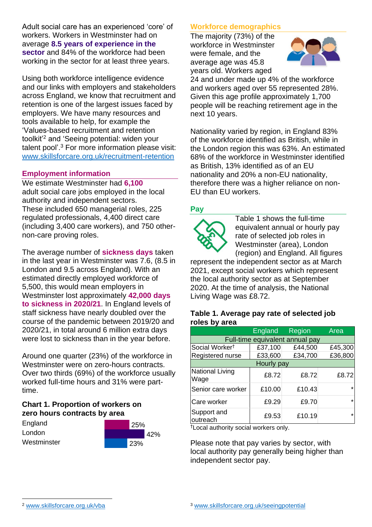Adult social care has an experienced 'core' of workers. Workers in Westminster had on average **8.5 years of experience in the sector** and 84% of the workforce had been working in the sector for at least three years.

Using both workforce intelligence evidence and our links with employers and stakeholders across England, we know that recruitment and retention is one of the largest issues faced by employers. We have many resources and tools available to help, for example the 'Values-based recruitment and retention toolkit'<sup>2</sup> and 'Seeing potential: widen your talent pool'. <sup>3</sup> For more information please visit: [www.skillsforcare.org.uk/recruitment-retention](http://www.skillsforcare.org.uk/recruitment-retention)

## **Employment information**

We estimate Westminster had **6,100** adult social care jobs employed in the local authority and independent sectors. These included 650 managerial roles, 225 regulated professionals, 4,400 direct care (including 3,400 care workers), and 750 othernon-care proving roles.

The average number of **sickness days** taken in the last year in Westminster was 7.6, (8.5 in London and 9.5 across England). With an estimated directly employed workforce of 5,500, this would mean employers in Westminster lost approximately **42,000 days to sickness in 2020/21**. In England levels of staff sickness have nearly doubled over the course of the pandemic between 2019/20 and 2020/21, in total around 6 million extra days were lost to sickness than in the year before.

Around one quarter (23%) of the workforce in Westminster were on zero-hours contracts. Over two thirds (69%) of the workforce usually worked full-time hours and 31% were parttime.

# **Chart 1. Proportion of workers on zero hours contracts by area**

| England     | 25% |  |
|-------------|-----|--|
| London      | 42% |  |
| Westminster | 23% |  |

## **Workforce demographics**

The majority (73%) of the workforce in Westminster were female, and the average age was 45.8 years old. Workers aged



24 and under made up 4% of the workforce and workers aged over 55 represented 28%. Given this age profile approximately 1,700 people will be reaching retirement age in the next 10 years.

Nationality varied by region, in England 83% of the workforce identified as British, while in the London region this was 63%. An estimated 68% of the workforce in Westminster identified as British, 13% identified as of an EU nationality and 20% a non-EU nationality, therefore there was a higher reliance on non-EU than EU workers.

## **Pay**



Table 1 shows the full-time equivalent annual or hourly pay rate of selected job roles in Westminster (area), London (region) and England. All figures

represent the independent sector as at March 2021, except social workers which represent the local authority sector as at September 2020. At the time of analysis, the National Living Wage was £8.72.

#### **Table 1. Average pay rate of selected job roles by area**

|                                 | England | <b>Region</b> | Area    |  |
|---------------------------------|---------|---------------|---------|--|
| Full-time equivalent annual pay |         |               |         |  |
| Social Worker <sup>t</sup>      | £37,100 | £44,500       | £45,300 |  |
| Registered nurse                | £33,600 | £34,700       | £36,800 |  |
| Hourly pay                      |         |               |         |  |
| <b>National Living</b><br>Wage  | £8.72   | £8.72         | £8.72   |  |
| Senior care worker              | £10.00  | £10.43        | $\star$ |  |
| Care worker                     | £9.29   | £9.70         | $\star$ |  |
| Support and<br>outreach         | £9.53   | £10.19        | $\star$ |  |

†Local authority social workers only.

Please note that pay varies by sector, with local authority pay generally being higher than independent sector pay.

[www.skillsforcare.org.uk/vba](http://www.skillsforcare.org.uk/vba)